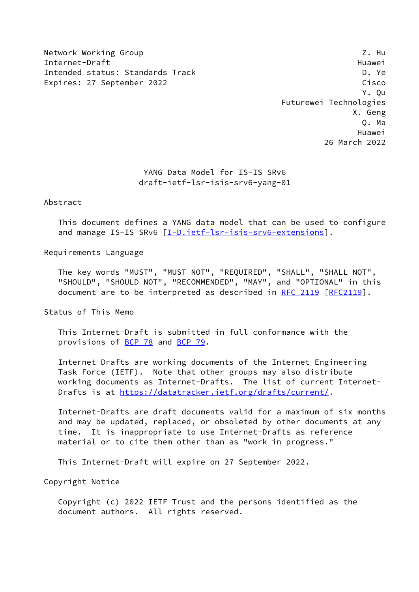Network Working Group 2. Hunder of the Second Library 2. Hunder of the Second Library 2. Hunder Internet-Draft Huawei Intended status: Standards Track D. Ye Expires: 27 September 2022 Cisco

 Y. Qu Futurewei Technologies X. Geng Q. Ma Huawei 26 March 2022

# YANG Data Model for IS-IS SRv6 draft-ietf-lsr-isis-srv6-yang-01

Abstract

 This document defines a YANG data model that can be used to configure and manage IS-IS SRv6 [[I-D.ietf-lsr-isis-srv6-extensions\]](#page-22-0).

Requirements Language

 The key words "MUST", "MUST NOT", "REQUIRED", "SHALL", "SHALL NOT", "SHOULD", "SHOULD NOT", "RECOMMENDED", "MAY", and "OPTIONAL" in this document are to be interpreted as described in [RFC 2119 \[RFC2119](https://datatracker.ietf.org/doc/pdf/rfc2119)].

Status of This Memo

 This Internet-Draft is submitted in full conformance with the provisions of [BCP 78](https://datatracker.ietf.org/doc/pdf/bcp78) and [BCP 79](https://datatracker.ietf.org/doc/pdf/bcp79).

 Internet-Drafts are working documents of the Internet Engineering Task Force (IETF). Note that other groups may also distribute working documents as Internet-Drafts. The list of current Internet- Drafts is at<https://datatracker.ietf.org/drafts/current/>.

 Internet-Drafts are draft documents valid for a maximum of six months and may be updated, replaced, or obsoleted by other documents at any time. It is inappropriate to use Internet-Drafts as reference material or to cite them other than as "work in progress."

This Internet-Draft will expire on 27 September 2022.

Copyright Notice

 Copyright (c) 2022 IETF Trust and the persons identified as the document authors. All rights reserved.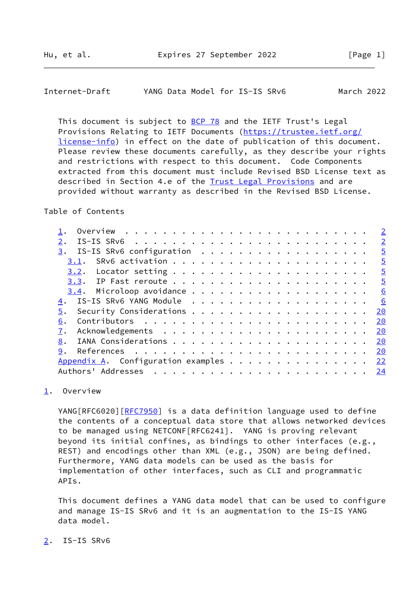<span id="page-1-1"></span>

| Internet-Draft | YANG Data Model for IS-IS SRv6 |  |  | March 2022 |
|----------------|--------------------------------|--|--|------------|
|----------------|--------------------------------|--|--|------------|

This document is subject to **[BCP 78](https://datatracker.ietf.org/doc/pdf/bcp78)** and the IETF Trust's Legal Provisions Relating to IETF Documents ([https://trustee.ietf.org/](https://trustee.ietf.org/license-info) [license-info](https://trustee.ietf.org/license-info)) in effect on the date of publication of this document. Please review these documents carefully, as they describe your rights and restrictions with respect to this document. Code Components extracted from this document must include Revised BSD License text as described in Section 4.e of the [Trust Legal Provisions](https://trustee.ietf.org/license-info) and are provided without warranty as described in the Revised BSD License.

Table of Contents

|                                | $\overline{2}$ |
|--------------------------------|----------------|
|                                | $\overline{2}$ |
| IS-IS SRv6 configuration<br>3. | $\overline{5}$ |
| 3.1.                           | $\overline{5}$ |
|                                | $\overline{5}$ |
|                                | $\overline{5}$ |
|                                | 6              |
| IS-IS SRv6 YANG Module<br>4.   | 6              |
| 5.                             | 20             |
| 6.                             | 20             |
|                                | 20             |
| 8.                             | 20             |
| 9.                             | 20             |
|                                | 22             |
| Authors' Addresses             | 24             |
|                                |                |

## <span id="page-1-0"></span>[1](#page-1-0). Overview

YANG[RFC6020][\[RFC7950](https://datatracker.ietf.org/doc/pdf/rfc7950)] is a data definition language used to define the contents of a conceptual data store that allows networked devices to be managed using NETCONF[RFC6241]. YANG is proving relevant beyond its initial confines, as bindings to other interfaces (e.g., REST) and encodings other than XML (e.g., JSON) are being defined. Furthermore, YANG data models can be used as the basis for implementation of other interfaces, such as CLI and programmatic APIs.

 This document defines a YANG data model that can be used to configure and manage IS-IS SRv6 and it is an augmentation to the IS-IS YANG data model.

<span id="page-1-2"></span>[2](#page-1-2). IS-IS SRv6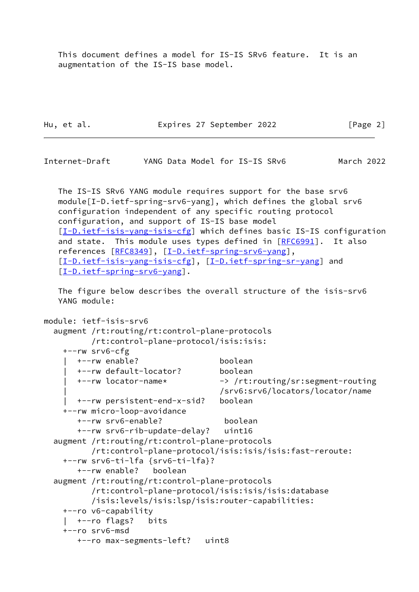This document defines a model for IS-IS SRv6 feature. It is an augmentation of the IS-IS base model.

Hu, et al. **Expires 27 September 2022** [Page 2]

Internet-Draft YANG Data Model for IS-IS SRv6 March 2022

 The IS-IS SRv6 YANG module requires support for the base srv6 module[I-D.ietf-spring-srv6-yang], which defines the global srv6 configuration independent of any specific routing protocol configuration, and support of IS-IS base model [\[I-D.ietf-isis-yang-isis-cfg](#page-22-4)] which defines basic IS-IS configuration and state. This module uses types defined in [[RFC6991](https://datatracker.ietf.org/doc/pdf/rfc6991)]. It also references [[RFC8349\]](https://datatracker.ietf.org/doc/pdf/rfc8349), [[I-D.ietf-spring-srv6-yang\]](#page-23-1), [\[I-D.ietf-isis-yang-isis-cfg](#page-22-4)], [\[I-D.ietf-spring-sr-yang](#page-23-2)] and [\[I-D.ietf-spring-srv6-yang](#page-23-1)].

 The figure below describes the overall structure of the isis-srv6 YANG module:

```
module: ietf-isis-srv6
   augment /rt:routing/rt:control-plane-protocols
          /rt:control-plane-protocol/isis:isis:
     +--rw srv6-cfg
       | +--rw enable? boolean
       | +--rw default-locator? boolean
       | +--rw locator-name* -> /rt:routing/sr:segment-routing
                                     | /srv6:srv6/locators/locator/name
       | +--rw persistent-end-x-sid? boolean
     +--rw micro-loop-avoidance
       +--rw srv6-enable? boolean
       +--rw srv6-rib-update-delay? uint16
  augment /rt:routing/rt:control-plane-protocols
          /rt:control-plane-protocol/isis:isis/isis:fast-reroute:
     +--rw srv6-ti-lfa {srv6-ti-lfa}?
       +--rw enable? boolean
   augment /rt:routing/rt:control-plane-protocols
          /rt:control-plane-protocol/isis:isis/isis:database
          /isis:levels/isis:lsp/isis:router-capabilities:
     +--ro v6-capability
     | +--ro flags? bits
     +--ro srv6-msd
       +--ro max-segments-left? uint8
```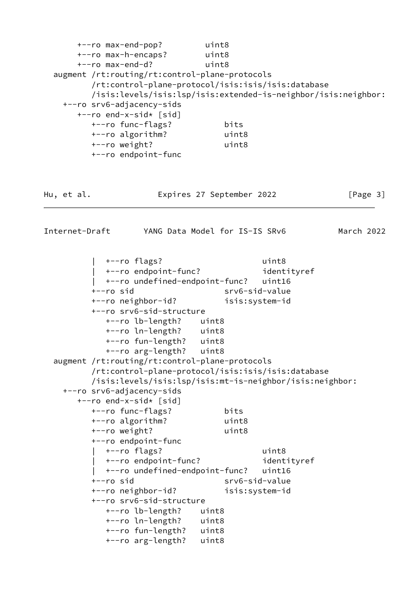| +--ro max-end-pop?<br>+--ro max-h-encaps? uint8 | uint8                                                          |            |
|-------------------------------------------------|----------------------------------------------------------------|------------|
| +--ro max-end-d?                                | uint8                                                          |            |
| augment /rt:routing/rt:control-plane-protocols  |                                                                |            |
|                                                 | /rt:control-plane-protocol/isis:isis/isis:database             |            |
|                                                 | /isis:levels/isis:lsp/isis:extended-is-neighbor/isis:neighbor: |            |
| +--ro srv6-adjacency-sids                       |                                                                |            |
| +--ro end-x-sid* [sid]                          |                                                                |            |
| +--ro func-flags?<br>+--ro algorithm?           | bits<br>uint8                                                  |            |
| +--ro weight?                                   | uint8                                                          |            |
| +--ro endpoint-func                             |                                                                |            |
|                                                 |                                                                |            |
| Hu, et al.                                      | Expires 27 September 2022                                      | [Page 3]   |
| Internet-Draft                                  | YANG Data Model for IS-IS SRv6                                 | March 2022 |
|                                                 | uint8                                                          |            |
| +--ro flags?<br>  +--ro endpoint-func?          | identityref                                                    |            |
| +--ro undefined-endpoint-func?                  | uint16                                                         |            |
| $+--ro$ sid                                     | srv6-sid-value                                                 |            |
| +--ro neighbor-id?                              | isis:system-id                                                 |            |
| +--ro srv6-sid-structure                        |                                                                |            |
| +--ro lb-length?                                | uint8                                                          |            |
| +--ro ln-length?                                | uint8                                                          |            |
| +--ro fun-length?                               | uint8                                                          |            |
| +--ro arg-length?                               | uint8                                                          |            |
| augment /rt:routing/rt:control-plane-protocols  |                                                                |            |
|                                                 | /rt:control-plane-protocol/isis:isis/isis:database             |            |
|                                                 | /isis:levels/isis:lsp/isis:mt-is-neighbor/isis:neighbor:       |            |
| +--ro srv6-adjacency-sids                       |                                                                |            |
| +--ro end-x-sid* [sid]                          |                                                                |            |
| +--ro func-flags?                               | bits                                                           |            |
| +--ro algorithm?                                | uint8                                                          |            |
| +--ro weight?                                   | uint8                                                          |            |
| +--ro endpoint-func                             |                                                                |            |
| +--ro flags?                                    | uint8                                                          |            |
| +--ro endpoint-func?                            | identityref                                                    |            |
| +--ro undefined-endpoint-func?                  | uint16                                                         |            |
| +--ro sid                                       | srv6-sid-value                                                 |            |
| +--ro neighbor-id?                              | isis:system-id                                                 |            |
| +--ro srv6-sid-structure                        |                                                                |            |
| +--ro lb-length?                                | uint8                                                          |            |
| +--ro ln-length?                                | uint8                                                          |            |
| +--ro fun-length?                               | uint8                                                          |            |
| +--ro arg-length?                               | uint8                                                          |            |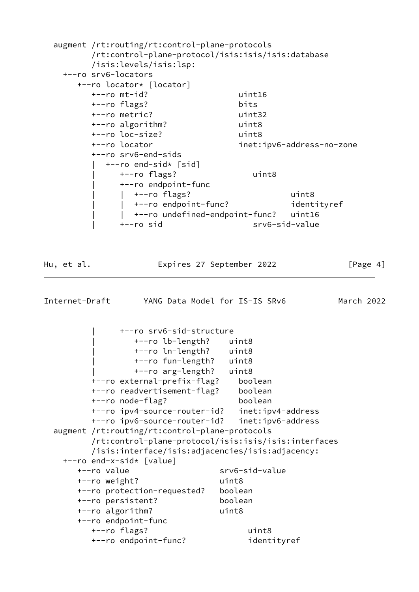<span id="page-4-0"></span>

| +--ro srv6-locators<br>+--ro locator* [locator]<br>$+--ro$ mt-id?<br>uint16<br>+--ro flags?<br>bits<br>+--ro metric?<br>uint32<br>+--ro algorithm?<br>uint8<br>+--ro loc-size?<br>uint8<br>+--ro locator<br>inet:ipv6-address-no-zone<br>+--ro srv6-end-sids<br>+--ro end-sid* [sid]<br>uint8<br>+--ro flags?<br>+--ro endpoint-func<br>  +--ro flags?<br>uint8<br>  +--ro endpoint-func?<br>identityref<br>  +--ro undefined-endpoint-func? uint16<br>$+--ro$ sid<br>srv6-sid-value<br>[Page 4]<br>Hu, et al.<br>Expires 27 September 2022<br>Internet-Draft YANG Data Model for IS-IS SRv6<br>March 2022<br>+--ro srv6-sid-structure<br>+--ro lb-length? uint8<br>+--ro ln-length? uint8<br>+--ro fun-length?<br>uint8<br>+--ro arg-length?<br>uint8<br>+--ro external-prefix-flag?<br>boolean<br>+--ro readvertisement-flag?<br>boolean<br>+--ro node-flag?<br>boolean<br>+--ro ipv4-source-router-id? inet:ipv4-address<br>+--ro ipv6-source-router-id?<br>inet:ipv6-address<br>augment /rt:routing/rt:control-plane-protocols<br>/rt:control-plane-protocol/isis:isis/isis:interfaces<br>/isis:interface/isis:adjacencies/isis:adjacency:<br>+--ro end-x-sid* [value]<br>+--ro value<br>srv6-sid-value<br>+--ro weight?<br>uint8<br>boolean<br>+--ro protection-requested?<br>+--ro persistent?<br>boolean<br>+--ro algorithm?<br>uint8<br>+--ro endpoint-func<br>+--ro flags?<br>uint8 | augment /rt:routing/rt:control-plane-protocols<br>/rt:control-plane-protocol/isis:isis/isis:database<br>/isis:levels/isis:lsp: |  |
|----------------------------------------------------------------------------------------------------------------------------------------------------------------------------------------------------------------------------------------------------------------------------------------------------------------------------------------------------------------------------------------------------------------------------------------------------------------------------------------------------------------------------------------------------------------------------------------------------------------------------------------------------------------------------------------------------------------------------------------------------------------------------------------------------------------------------------------------------------------------------------------------------------------------------------------------------------------------------------------------------------------------------------------------------------------------------------------------------------------------------------------------------------------------------------------------------------------------------------------------------------------------------------------------------------------------------------------------------------------------------------------------|--------------------------------------------------------------------------------------------------------------------------------|--|
|                                                                                                                                                                                                                                                                                                                                                                                                                                                                                                                                                                                                                                                                                                                                                                                                                                                                                                                                                                                                                                                                                                                                                                                                                                                                                                                                                                                              |                                                                                                                                |  |
|                                                                                                                                                                                                                                                                                                                                                                                                                                                                                                                                                                                                                                                                                                                                                                                                                                                                                                                                                                                                                                                                                                                                                                                                                                                                                                                                                                                              |                                                                                                                                |  |
|                                                                                                                                                                                                                                                                                                                                                                                                                                                                                                                                                                                                                                                                                                                                                                                                                                                                                                                                                                                                                                                                                                                                                                                                                                                                                                                                                                                              |                                                                                                                                |  |
|                                                                                                                                                                                                                                                                                                                                                                                                                                                                                                                                                                                                                                                                                                                                                                                                                                                                                                                                                                                                                                                                                                                                                                                                                                                                                                                                                                                              |                                                                                                                                |  |
|                                                                                                                                                                                                                                                                                                                                                                                                                                                                                                                                                                                                                                                                                                                                                                                                                                                                                                                                                                                                                                                                                                                                                                                                                                                                                                                                                                                              |                                                                                                                                |  |
|                                                                                                                                                                                                                                                                                                                                                                                                                                                                                                                                                                                                                                                                                                                                                                                                                                                                                                                                                                                                                                                                                                                                                                                                                                                                                                                                                                                              |                                                                                                                                |  |
|                                                                                                                                                                                                                                                                                                                                                                                                                                                                                                                                                                                                                                                                                                                                                                                                                                                                                                                                                                                                                                                                                                                                                                                                                                                                                                                                                                                              |                                                                                                                                |  |

+--ro endpoint-func? identityref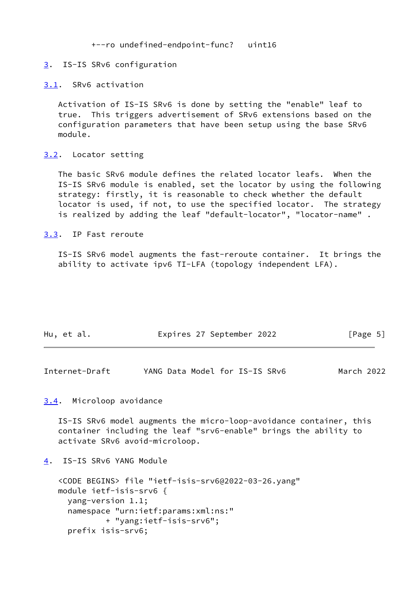+--ro undefined-endpoint-func? uint16

### <span id="page-5-0"></span>[3](#page-5-0). IS-IS SRv6 configuration

#### <span id="page-5-1"></span>[3.1](#page-5-1). SRv6 activation

 Activation of IS-IS SRv6 is done by setting the "enable" leaf to true. This triggers advertisement of SRv6 extensions based on the configuration parameters that have been setup using the base SRv6 module.

## <span id="page-5-2"></span>[3.2](#page-5-2). Locator setting

 The basic SRv6 module defines the related locator leafs. When the IS-IS SRv6 module is enabled, set the locator by using the following strategy: firstly, it is reasonable to check whether the default locator is used, if not, to use the specified locator. The strategy is realized by adding the leaf "default-locator", "locator-name" .

## <span id="page-5-3"></span>[3.3](#page-5-3). IP Fast reroute

 IS-IS SRv6 model augments the fast-reroute container. It brings the ability to activate ipv6 TI-LFA (topology independent LFA).

| Hu, et al. | Expires 27 September 2022 | [Page 5] |
|------------|---------------------------|----------|
|            |                           |          |

<span id="page-5-5"></span>

| Internet-Draft |  | YANG Data Model for IS-IS SRv6 | March 2022 |
|----------------|--|--------------------------------|------------|
|----------------|--|--------------------------------|------------|

## <span id="page-5-4"></span>[3.4](#page-5-4). Microloop avoidance

 IS-IS SRv6 model augments the micro-loop-avoidance container, this container including the leaf "srv6-enable" brings the ability to activate SRv6 avoid-microloop.

<span id="page-5-6"></span>[4](#page-5-6). IS-IS SRv6 YANG Module

```
 <CODE BEGINS> file "ietf-isis-srv6@2022-03-26.yang"
 module ietf-isis-srv6 {
   yang-version 1.1;
   namespace "urn:ietf:params:xml:ns:"
           + "yang:ietf-isis-srv6";
   prefix isis-srv6;
```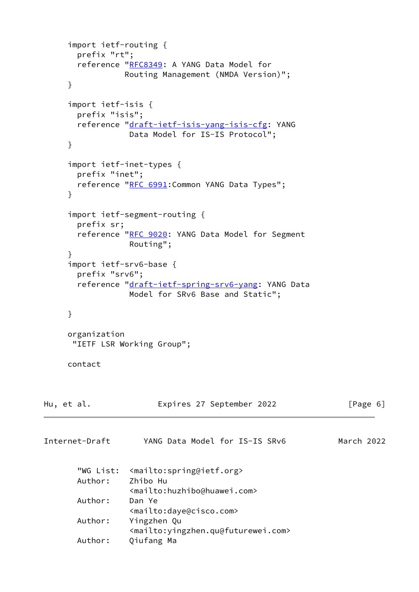```
 import ietf-routing {
       prefix "rt";
       RFC8349: A YANG Data Model for
                 Routing Management (NMDA Version)";
     }
      import ietf-isis {
       prefix "isis";
       reference "draft-ietf-isis-yang-isis-cfg: YANG
                  Data Model for IS-IS Protocol";
     }
      import ietf-inet-types {
       prefix "inet";
      RFC 6991: Common YANG Data Types";
      }
      import ietf-segment-routing {
       prefix sr;
       reference "RFC 9020: YANG Data Model for Segment
                  Routing";
      }
      import ietf-srv6-base {
       prefix "srv6";
       draft-ietf-spring-srv6-yang: YANG Data
                  Model for SRv6 Base and Static";
     }
      organization
       "IETF LSR Working Group";
     contact
Hu, et al.               Expires 27 September 2022           [Page 6]
Internet-Draft YANG Data Model for IS-IS SRv6 March 2022
        "WG List: <mailto:spring@ietf.org>
       Author: Zhibo Hu
                  <mailto:huzhibo@huawei.com>
       Author: Dan Ye
                  <mailto:daye@cisco.com>
       Author: Yingzhen Qu
                  <mailto:yingzhen.qu@futurewei.com>
       Author: Qiufang Ma
```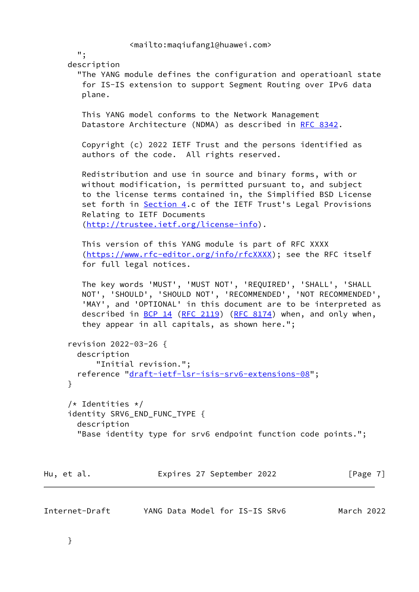```
 <mailto:maqiufang1@huawei.com>
   ";
 description
   "The YANG module defines the configuration and operatioanl state
   for IS-IS extension to support Segment Routing over IPv6 data
   plane.
   This YANG model conforms to the Network Management
  RFC 8342.
   Copyright (c) 2022 IETF Trust and the persons identified as
    authors of the code. All rights reserved.
   Redistribution and use in source and binary forms, with or
   without modification, is permitted pursuant to, and subject
   to the license terms contained in, the Simplified BSD License
    Section 4.c of the IETF Trust's Legal Provisions
   Relating to IETF Documents
    (http://trustee.ietf.org/license-info).
   This version of this YANG module is part of RFC XXXX
    (https://www.rfc-editor.org/info/rfcXXXX); see the RFC itself
    for full legal notices.
   The key words 'MUST', 'MUST NOT', 'REQUIRED', 'SHALL', 'SHALL
   NOT', 'SHOULD', 'SHOULD NOT', 'RECOMMENDED', 'NOT RECOMMENDED',
    'MAY', and 'OPTIONAL' in this document are to be interpreted as
  (RFC 2119(RFC 8174) when, and only when,
    they appear in all capitals, as shown here.";
 revision 2022-03-26 {
  description
      "Initial revision.";
  reference "draft-ietf-lsr-isis-srv6-extensions-08";
 }
 /* Identities */
identity SRV6 END FUNC TYPE {
  description
   "Base identity type for srv6 endpoint function code points.";
```
Internet-Draft YANG Data Model for IS-IS SRv6 March 2022

Hu, et al. **Expires 27 September 2022** [Page 7]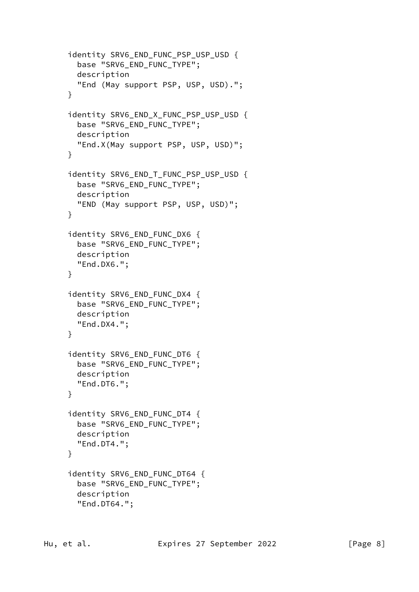```
 identity SRV6_END_FUNC_PSP_USP_USD {
  base "SRV6 END FUNC TYPE";
   description
   "End (May support PSP, USP, USD).";
 }
 identity SRV6_END_X_FUNC_PSP_USP_USD {
   base "SRV6_END_FUNC_TYPE";
   description
   "End.X(May support PSP, USP, USD)";
 }
 identity SRV6_END_T_FUNC_PSP_USP_USD {
   base "SRV6_END_FUNC_TYPE";
   description
   "END (May support PSP, USP, USD)";
 }
 identity SRV6_END_FUNC_DX6 {
   base "SRV6_END_FUNC_TYPE";
   description
   "End.DX6.";
 }
 identity SRV6_END_FUNC_DX4 {
   base "SRV6_END_FUNC_TYPE";
   description
   "End.DX4.";
 }
 identity SRV6_END_FUNC_DT6 {
   base "SRV6_END_FUNC_TYPE";
   description
   "End.DT6.";
 }
 identity SRV6_END_FUNC_DT4 {
   base "SRV6_END_FUNC_TYPE";
   description
   "End.DT4.";
 }
 identity SRV6_END_FUNC_DT64 {
   base "SRV6_END_FUNC_TYPE";
   description
   "End.DT64.";
```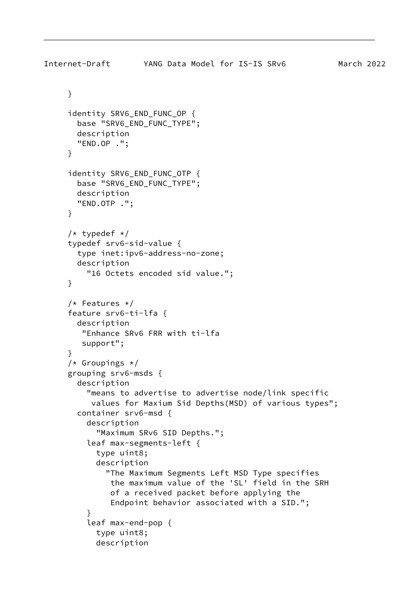```
Internet-Draft YANG Data Model for IS-IS SRv6 March 2022
      }
     identity SRV6 END FUNC OP {
        base "SRV6_END_FUNC_TYPE";
        description
        "END.OP .";
      }
      identity SRV6_END_FUNC_OTP {
        base "SRV6_END_FUNC_TYPE";
        description
        "END.OTP .";
      }
     /* typedef */ typedef srv6-sid-value {
        type inet:ipv6-address-no-zone;
        description
          "16 Octets encoded sid value.";
      }
      /* Features */
      feature srv6-ti-lfa {
        description
         "Enhance SRv6 FRR with ti-lfa
         support";
      }
     /* Groupings */ grouping srv6-msds {
        description
          "means to advertise to advertise node/link specific
           values for Maxium Sid Depths(MSD) of various types";
        container srv6-msd {
          description
            "Maximum SRv6 SID Depths.";
          leaf max-segments-left {
            type uint8;
            description
              "The Maximum Segments Left MSD Type specifies
               the maximum value of the 'SL' field in the SRH
               of a received packet before applying the
               Endpoint behavior associated with a SID.";
 }
          leaf max-end-pop {
            type uint8;
```
description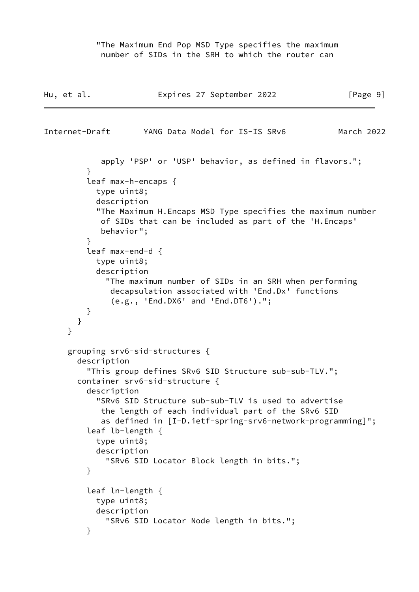"The Maximum End Pop MSD Type specifies the maximum number of SIDs in the SRH to which the router can

```
Hu, et al. Expires 27 September 2022 [Page 9]
Internet-Draft YANG Data Model for IS-IS SRv6 March 2022
            apply 'PSP' or 'USP' behavior, as defined in flavors.";
 }
          leaf max-h-encaps {
           type uint8;
           description
            "The Maximum H.Encaps MSD Type specifies the maximum number
            of SIDs that can be included as part of the 'H.Encaps'
            behavior";
 }
          leaf max-end-d {
           type uint8;
           description
              "The maximum number of SIDs in an SRH when performing
              decapsulation associated with 'End.Dx' functions
               (e.g., 'End.DX6' and 'End.DT6').";
         }
       }
     }
     grouping srv6-sid-structures {
       description
          "This group defines SRv6 SID Structure sub-sub-TLV.";
       container srv6-sid-structure {
          description
            "SRv6 SID Structure sub-sub-TLV is used to advertise
            the length of each individual part of the SRv6 SID
            as defined in [I-D.ietf-spring-srv6-network-programming]";
          leaf lb-length {
           type uint8;
           description
              "SRv6 SID Locator Block length in bits.";
         }
          leaf ln-length {
           type uint8;
           description
              "SRv6 SID Locator Node length in bits.";
         }
```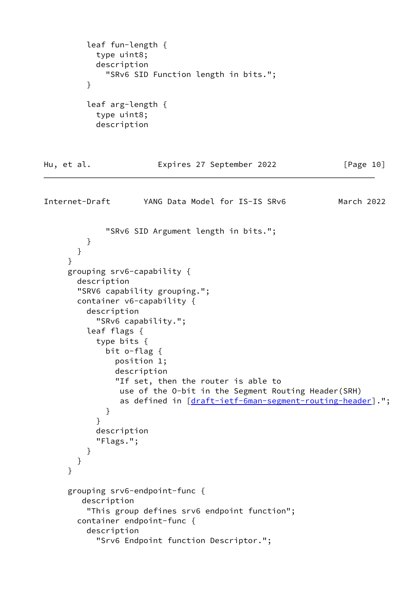```
 leaf fun-length {
           type uint8;
           description
              "SRv6 SID Function length in bits.";
         }
          leaf arg-length {
           type uint8;
           description
Hu, et al. Expires 27 September 2022 [Page 10]
Internet-Draft YANG Data Model for IS-IS SRv6 March 2022
              "SRv6 SID Argument length in bits.";
         }
       }
     }
     grouping srv6-capability {
       description
       "SRV6 capability grouping.";
       container v6-capability {
         description
            "SRv6 capability.";
         leaf flags {
            type bits {
             bit o-flag {
               position 1;
               description
                "If set, then the router is able to
                use of the O-bit in the Segment Routing Header(SRH)
                as defined in [draft-ietf-6man-segment-routing-header].";
 }
 }
           description
            "Flags.";
         }
       }
     }
     grouping srv6-endpoint-func {
        description
          "This group defines srv6 endpoint function";
       container endpoint-func {
         description
            "Srv6 Endpoint function Descriptor.";
```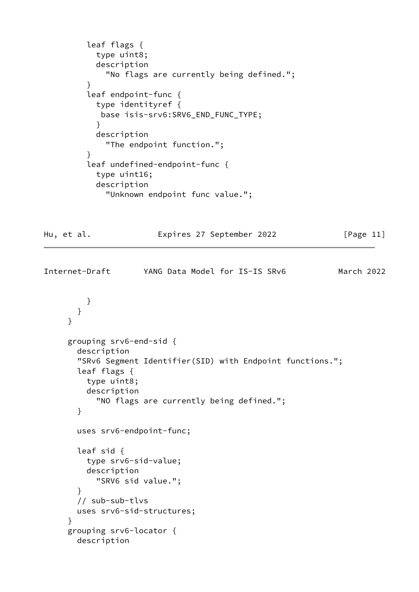```
 leaf flags {
            type uint8;
            description
              "No flags are currently being defined.";
 }
          leaf endpoint-func {
           type identityref {
            base isis-srv6:SRV6_END_FUNC_TYPE;
 }
           description
              "The endpoint function.";
          }
          leaf undefined-endpoint-func {
            type uint16;
            description
              "Unknown endpoint func value.";
Hu, et al. Expires 27 September 2022 [Page 11]
Internet-Draft YANG Data Model for IS-IS SRv6 March 2022
          }
        }
      }
      grouping srv6-end-sid {
        description
        "SRv6 Segment Identifier(SID) with Endpoint functions.";
        leaf flags {
          type uint8;
          description
            "NO flags are currently being defined.";
        }
        uses srv6-endpoint-func;
        leaf sid {
          type srv6-sid-value;
          description
           "SRV6 sid value.";
        }
        // sub-sub-tlvs
       uses srv6-sid-structures;
      }
      grouping srv6-locator {
        description
```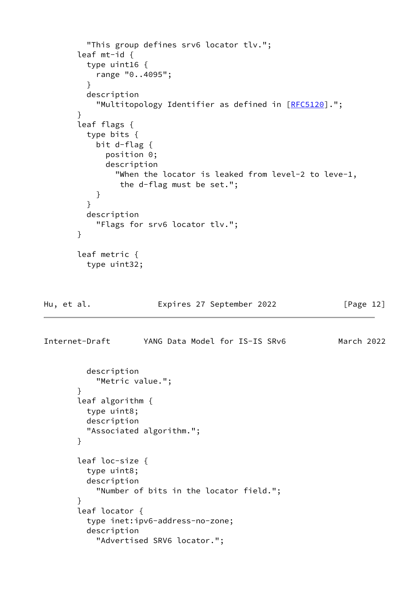```
 "This group defines srv6 locator tlv.";
        leaf mt-id {
          type uint16 {
            range "0..4095";
          }
          description
            "Multitopology Identifier as defined in [RFC5120].";
        }
        leaf flags {
          type bits {
            bit d-flag {
              position 0;
              description
                "When the locator is leaked from level-2 to leve-1,
                 the d-flag must be set.";
            }
          }
          description
            "Flags for srv6 locator tlv.";
        }
        leaf metric {
          type uint32;
Hu, et al.               Expires 27 September 2022           [Page 12]
Internet-Draft YANG Data Model for IS-IS SRv6 March 2022
          description
            "Metric value.";
        }
        leaf algorithm {
          type uint8;
          description
          "Associated algorithm.";
        }
        leaf loc-size {
          type uint8;
          description
            "Number of bits in the locator field.";
        }
        leaf locator {
          type inet:ipv6-address-no-zone;
          description
            "Advertised SRV6 locator.";
```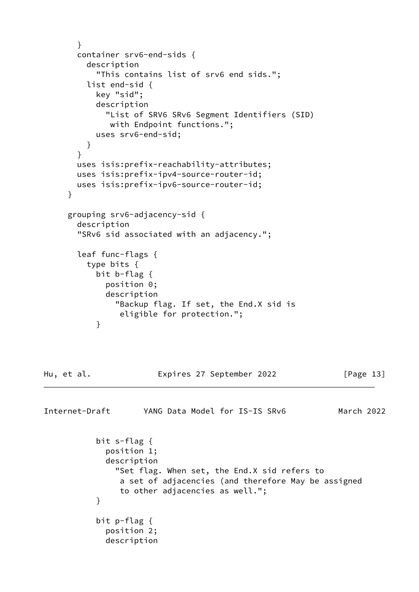```
 }
        container srv6-end-sids {
          description
            "This contains list of srv6 end sids.";
          list end-sid {
           key "sid";
            description
              "List of SRV6 SRv6 Segment Identifiers (SID)
              with Endpoint functions.";
           uses srv6-end-sid;
 }
        }
        uses isis:prefix-reachability-attributes;
        uses isis:prefix-ipv4-source-router-id;
        uses isis:prefix-ipv6-source-router-id;
      }
      grouping srv6-adjacency-sid {
        description
        "SRv6 sid associated with an adjacency.";
        leaf func-flags {
          type bits {
           bit b-flag {
             position 0;
             description
                "Backup flag. If set, the End.X sid is
                 eligible for protection.";
 }
Hu, et al. Expires 27 September 2022 [Page 13]
```
Internet-Draft YANG Data Model for IS-IS SRv6 March 2022 bit s-flag { position 1; description "Set flag. When set, the End.X sid refers to a set of adjacencies (and therefore May be assigned to other adjacencies as well."; } bit p-flag { position 2; description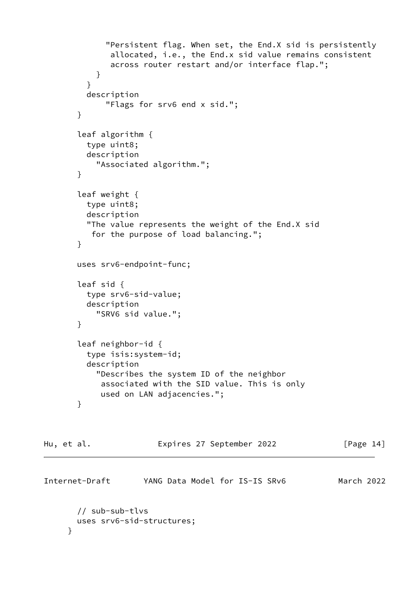```
 "Persistent flag. When set, the End.X sid is persistently
               allocated, i.e., the End.x sid value remains consistent
               across router restart and/or interface flap.";
 }
          }
          description
              "Flags for srv6 end x sid.";
        }
        leaf algorithm {
          type uint8;
          description
            "Associated algorithm.";
        }
        leaf weight {
          type uint8;
          description
          "The value represents the weight of the End.X sid
           for the purpose of load balancing.";
        }
        uses srv6-endpoint-func;
        leaf sid {
          type srv6-sid-value;
          description
            "SRV6 sid value.";
        }
        leaf neighbor-id {
          type isis:system-id;
          description
            "Describes the system ID of the neighbor
             associated with the SID value. This is only
             used on LAN adjacencies.";
        }
```

| Hu, et al.     | Expires 27 September 2022      | [Page 14]  |  |
|----------------|--------------------------------|------------|--|
| Internet-Draft | YANG Data Model for IS-IS SRv6 | March 2022 |  |

```
 // sub-sub-tlvs
   uses srv6-sid-structures;
 }
```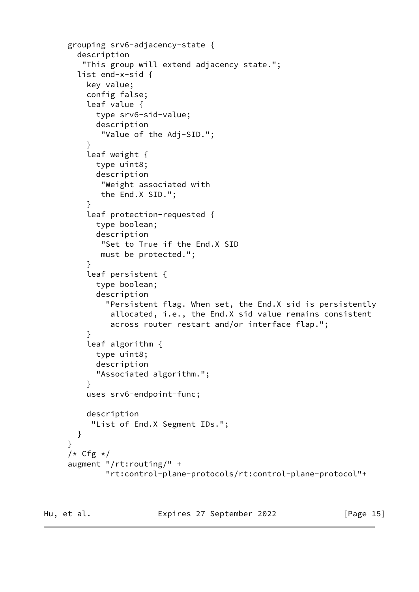```
 grouping srv6-adjacency-state {
        description
         "This group will extend adjacency state.";
        list end-x-sid {
          key value;
          config false;
          leaf value {
            type srv6-sid-value;
            description
             "Value of the Adj-SID.";
          }
          leaf weight {
            type uint8;
            description
             "Weight associated with
             the End.X SID.";
 }
          leaf protection-requested {
            type boolean;
            description
             "Set to True if the End.X SID
             must be protected.";
 }
          leaf persistent {
            type boolean;
            description
              "Persistent flag. When set, the End.X sid is persistently
               allocated, i.e., the End.X sid value remains consistent
               across router restart and/or interface flap.";
          }
          leaf algorithm {
            type uint8;
            description
            "Associated algorithm.";
 }
          uses srv6-endpoint-func;
          description
           "List of End.X Segment IDs.";
        }
      }
     /* Cfg */ augment "/rt:routing/" +
              "rt:control-plane-protocols/rt:control-plane-protocol"+
```
Hu, et al. **Expires 27 September 2022** [Page 15]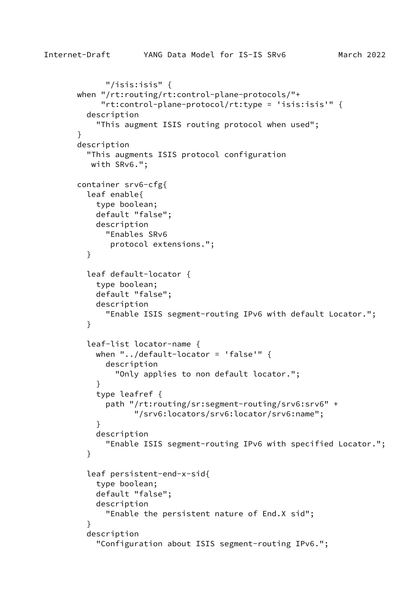```
Internet-Draft YANG Data Model for IS-IS SRv6 March 2022
              "/isis:isis" {
        when "/rt:routing/rt:control-plane-protocols/"+
             "rt:control-plane-protocol/rt:type = 'isis:isis'" {
          description
            "This augment ISIS routing protocol when used";
        }
        description
          "This augments ISIS protocol configuration
           with SRv6.";
        container srv6-cfg{
          leaf enable{
            type boolean;
            default "false";
            description
              "Enables SRv6
               protocol extensions.";
          }
          leaf default-locator {
            type boolean;
            default "false";
            description
              "Enable ISIS segment-routing IPv6 with default Locator.";
          }
          leaf-list locator-name {
           when "../default-locator = 'false'" {
              description
                "Only applies to non default locator.";
 }
            type leafref {
              path "/rt:routing/sr:segment-routing/srv6:srv6" +
                    "/srv6:locators/srv6:locator/srv6:name";
 }
```

```
 description
   "Enable ISIS segment-routing IPv6 with specified Locator.";
```
 type boolean; default "false";

description

leaf persistent-end-x-sid{

}

}

"Enable the persistent nature of End.X sid";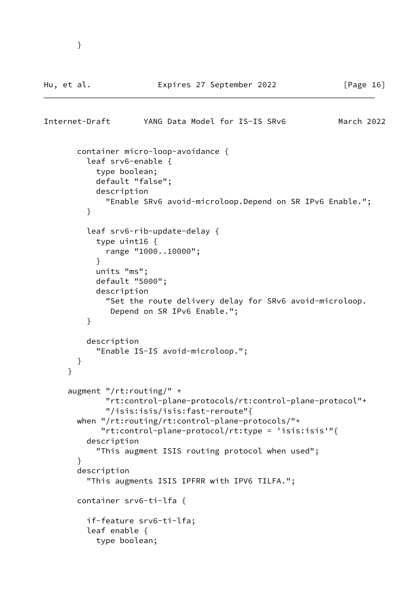```
Internet-Draft YANG Data Model for IS-IS SRv6 March 2022
        container micro-loop-avoidance {
          leaf srv6-enable {
            type boolean;
            default "false";
            description
              "Enable SRv6 avoid-microloop.Depend on SR IPv6 Enable.";
          }
          leaf srv6-rib-update-delay {
            type uint16 {
              range "1000..10000";
 }
            units "ms";
            default "5000";
            description
              "Set the route delivery delay for SRv6 avoid-microloop.
               Depend on SR IPv6 Enable.";
          }
          description
            "Enable IS-IS avoid-microloop.";
        }
      }
      augment "/rt:routing/" +
              "rt:control-plane-protocols/rt:control-plane-protocol"+
              "/isis:isis/isis:fast-reroute"{
        when "/rt:routing/rt:control-plane-protocols/"+
             "rt:control-plane-protocol/rt:type = 'isis:isis'"{
          description
            "This augment ISIS routing protocol when used";
        }
        description
          "This augments ISIS IPFRR with IPV6 TILFA.";
        container srv6-ti-lfa {
          if-feature srv6-ti-lfa;
          leaf enable {
            type boolean;
```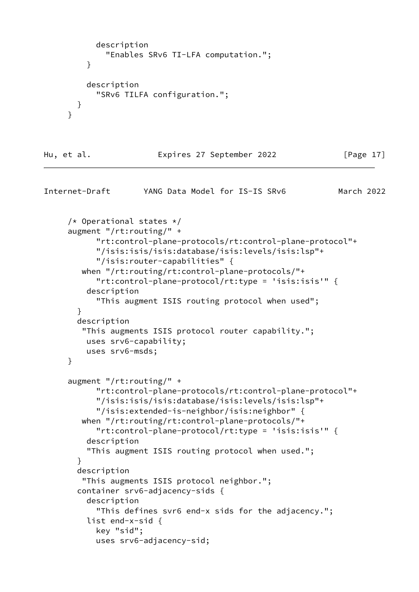```
 description
              "Enables SRv6 TI-LFA computation.";
 }
          description
            "SRv6 TILFA configuration.";
       }
      }
Hu, et al. Expires 27 September 2022 [Page 17]
Internet-Draft YANG Data Model for IS-IS SRv6 March 2022
      /* Operational states */
      augment "/rt:routing/" +
            "rt:control-plane-protocols/rt:control-plane-protocol"+
            "/isis:isis/isis:database/isis:levels/isis:lsp"+
            "/isis:router-capabilities" {
        when "/rt:routing/rt:control-plane-protocols/"+
            "rt:control-plane-protocol/rt:type = 'isis:isis'" {
          description
            "This augment ISIS routing protocol when used";
        }
        description
         "This augments ISIS protocol router capability.";
          uses srv6-capability;
          uses srv6-msds;
      }
      augment "/rt:routing/" +
            "rt:control-plane-protocols/rt:control-plane-protocol"+
            "/isis:isis/isis:database/isis:levels/isis:lsp"+
            "/isis:extended-is-neighbor/isis:neighbor" {
        when "/rt:routing/rt:control-plane-protocols/"+
            "rt:control-plane-protocol/rt:type = 'isis:isis'" {
          description
          "This augment ISIS routing protocol when used.";
        }
        description
         "This augments ISIS protocol neighbor.";
        container srv6-adjacency-sids {
          description
            "This defines svr6 end-x sids for the adjacency.";
          list end-x-sid {
            key "sid";
            uses srv6-adjacency-sid;
```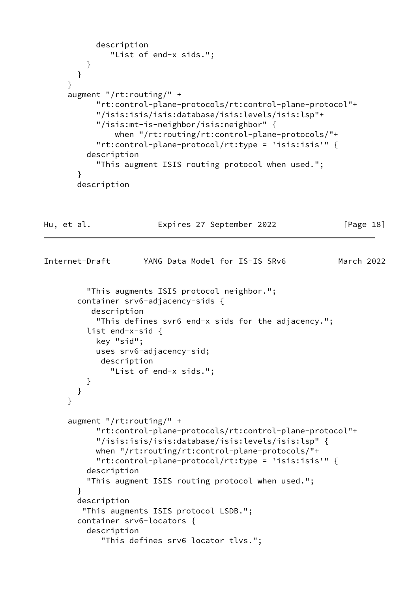```
 description
               "List of end-x sids.";
          }
        }
      }
      augment "/rt:routing/" +
            "rt:control-plane-protocols/rt:control-plane-protocol"+
            "/isis:isis/isis:database/isis:levels/isis:lsp"+
            "/isis:mt-is-neighbor/isis:neighbor" {
                when "/rt:routing/rt:control-plane-protocols/"+
            "rt:control-plane-protocol/rt:type = 'isis:isis'" {
          description
            "This augment ISIS routing protocol when used.";
        }
        description
Hu, et al. Expires 27 September 2022 [Page 18]
Internet-Draft YANG Data Model for IS-IS SRv6 March 2022
          "This augments ISIS protocol neighbor.";
        container srv6-adjacency-sids {
           description
            "This defines svr6 end-x sids for the adjacency.";
          list end-x-sid {
            key "sid";
            uses srv6-adjacency-sid;
             description
               "List of end-x sids.";
 }
        }
      }
      augment "/rt:routing/" +
            "rt:control-plane-protocols/rt:control-plane-protocol"+
            "/isis:isis/isis:database/isis:levels/isis:lsp" {
            when "/rt:routing/rt:control-plane-protocols/"+
            "rt:control-plane-protocol/rt:type = 'isis:isis'" {
          description
          "This augment ISIS routing protocol when used.";
        }
        description
         "This augments ISIS protocol LSDB.";
        container srv6-locators {
          description
             "This defines srv6 locator tlvs.";
```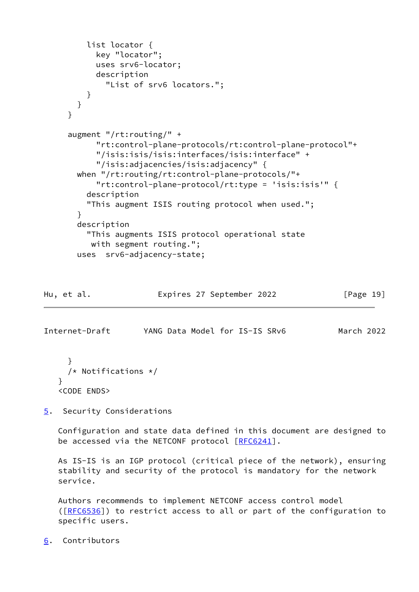```
 list locator {
       key "locator";
       uses srv6-locator;
       description
         "List of srv6 locators.";
     }
  }
 }
 augment "/rt:routing/" +
       "rt:control-plane-protocols/rt:control-plane-protocol"+
       "/isis:isis/isis:interfaces/isis:interface" +
       "/isis:adjacencies/isis:adjacency" {
   when "/rt:routing/rt:control-plane-protocols/"+
       "rt:control-plane-protocol/rt:type = 'isis:isis'" {
     description
     "This augment ISIS routing protocol when used.";
   }
   description
     "This augments ISIS protocol operational state
      with segment routing.";
   uses srv6-adjacency-state;
```

| Expires 27 September 2022<br>Hu, et al. | [Page 19] |  |
|-----------------------------------------|-----------|--|
|-----------------------------------------|-----------|--|

<span id="page-21-1"></span>Internet-Draft YANG Data Model for IS-IS SRv6 March 2022

```
 }
   /* Notifications */
 }
 <CODE ENDS>
```
<span id="page-21-0"></span>[5](#page-21-0). Security Considerations

 Configuration and state data defined in this document are designed to be accessed via the NETCONF protocol [\[RFC6241](https://datatracker.ietf.org/doc/pdf/rfc6241)].

 As IS-IS is an IGP protocol (critical piece of the network), ensuring stability and security of the protocol is mandatory for the network service.

 Authors recommends to implement NETCONF access control model ([\[RFC6536](https://datatracker.ietf.org/doc/pdf/rfc6536)]) to restrict access to all or part of the configuration to specific users.

<span id="page-21-2"></span>[6](#page-21-2). Contributors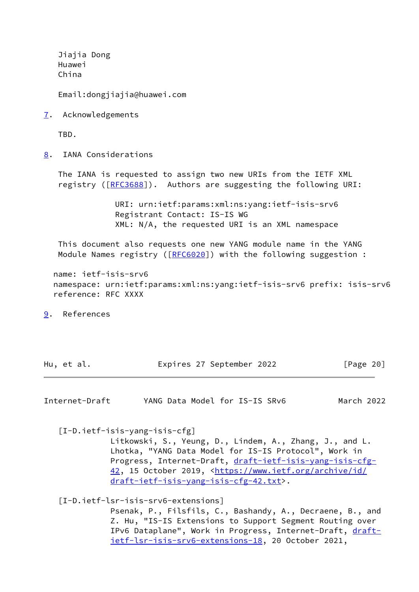Jiajia Dong Huawei China

Email:dongjiajia@huawei.com

<span id="page-22-1"></span>[7](#page-22-1). Acknowledgements

TBD.

<span id="page-22-2"></span>[8](#page-22-2). IANA Considerations

 The IANA is requested to assign two new URIs from the IETF XML registry ([[RFC3688](https://datatracker.ietf.org/doc/pdf/rfc3688)]). Authors are suggesting the following URI:

> URI: urn:ietf:params:xml:ns:yang:ietf-isis-srv6 Registrant Contact: IS-IS WG XML: N/A, the requested URI is an XML namespace

 This document also requests one new YANG module name in the YANG Module Names registry ([\[RFC6020](https://datatracker.ietf.org/doc/pdf/rfc6020)]) with the following suggestion :

 name: ietf-isis-srv6 namespace: urn:ietf:params:xml:ns:yang:ietf-isis-srv6 prefix: isis-srv6 reference: RFC XXXX

<span id="page-22-3"></span>[9](#page-22-3). References

Hu, et al. **Expires 27 September 2022** [Page 20]

Internet-Draft YANG Data Model for IS-IS SRv6 March 2022

<span id="page-22-4"></span>[I-D.ietf-isis-yang-isis-cfg]

 Litkowski, S., Yeung, D., Lindem, A., Zhang, J., and L. Lhotka, "YANG Data Model for IS-IS Protocol", Work in Progress, Internet-Draft, [draft-ietf-isis-yang-isis-cfg-](https://datatracker.ietf.org/doc/pdf/draft-ietf-isis-yang-isis-cfg-42) [42,](https://datatracker.ietf.org/doc/pdf/draft-ietf-isis-yang-isis-cfg-42) 15 October 2019, [<https://www.ietf.org/archive/id/](https://www.ietf.org/archive/id/draft-ietf-isis-yang-isis-cfg-42.txt) [draft-ietf-isis-yang-isis-cfg-42.txt>](https://www.ietf.org/archive/id/draft-ietf-isis-yang-isis-cfg-42.txt).

<span id="page-22-0"></span>[I-D.ietf-lsr-isis-srv6-extensions]

 Psenak, P., Filsfils, C., Bashandy, A., Decraene, B., and Z. Hu, "IS-IS Extensions to Support Segment Routing over IPv6 Dataplane", Work in Progress, Internet-Draft, [draft](https://datatracker.ietf.org/doc/pdf/draft-ietf-lsr-isis-srv6-extensions-18)[ietf-lsr-isis-srv6-extensions-18,](https://datatracker.ietf.org/doc/pdf/draft-ietf-lsr-isis-srv6-extensions-18) 20 October 2021,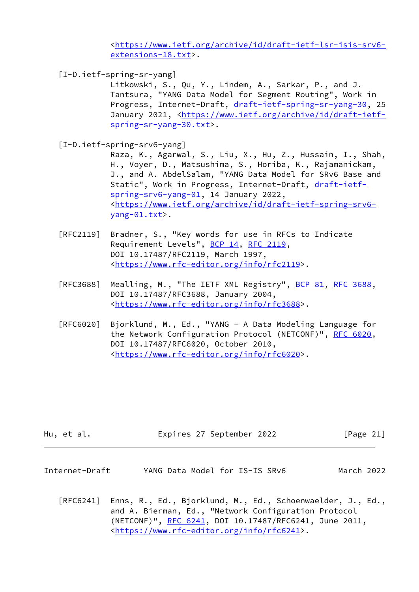<[https://www.ietf.org/archive/id/draft-ietf-lsr-isis-srv6](https://www.ietf.org/archive/id/draft-ietf-lsr-isis-srv6-extensions-18.txt) [extensions-18.txt>](https://www.ietf.org/archive/id/draft-ietf-lsr-isis-srv6-extensions-18.txt).

<span id="page-23-2"></span>[I-D.ietf-spring-sr-yang]

 Litkowski, S., Qu, Y., Lindem, A., Sarkar, P., and J. Tantsura, "YANG Data Model for Segment Routing", Work in Progress, Internet-Draft, [draft-ietf-spring-sr-yang-30](https://datatracker.ietf.org/doc/pdf/draft-ietf-spring-sr-yang-30), 25 January 2021, [<https://www.ietf.org/archive/id/draft-ietf](https://www.ietf.org/archive/id/draft-ietf-spring-sr-yang-30.txt) [spring-sr-yang-30.txt>](https://www.ietf.org/archive/id/draft-ietf-spring-sr-yang-30.txt).

<span id="page-23-1"></span>[I-D.ietf-spring-srv6-yang]

 Raza, K., Agarwal, S., Liu, X., Hu, Z., Hussain, I., Shah, H., Voyer, D., Matsushima, S., Horiba, K., Rajamanickam, J., and A. AbdelSalam, "YANG Data Model for SRv6 Base and Static", Work in Progress, Internet-Draft, [draft-ietf](https://datatracker.ietf.org/doc/pdf/draft-ietf-spring-srv6-yang-01) [spring-srv6-yang-01](https://datatracker.ietf.org/doc/pdf/draft-ietf-spring-srv6-yang-01), 14 January 2022, <[https://www.ietf.org/archive/id/draft-ietf-spring-srv6](https://www.ietf.org/archive/id/draft-ietf-spring-srv6-yang-01.txt) [yang-01.txt](https://www.ietf.org/archive/id/draft-ietf-spring-srv6-yang-01.txt)>.

- [RFC2119] Bradner, S., "Key words for use in RFCs to Indicate Requirement Levels", [BCP 14](https://datatracker.ietf.org/doc/pdf/bcp14), [RFC 2119](https://datatracker.ietf.org/doc/pdf/rfc2119), DOI 10.17487/RFC2119, March 1997, <[https://www.rfc-editor.org/info/rfc2119>](https://www.rfc-editor.org/info/rfc2119).
- [RFC3688] Mealling, M., "The IETF XML Registry", [BCP 81](https://datatracker.ietf.org/doc/pdf/bcp81), [RFC 3688](https://datatracker.ietf.org/doc/pdf/rfc3688), DOI 10.17487/RFC3688, January 2004, <[https://www.rfc-editor.org/info/rfc3688>](https://www.rfc-editor.org/info/rfc3688).
- [RFC6020] Bjorklund, M., Ed., "YANG A Data Modeling Language for the Network Configuration Protocol (NETCONF)", [RFC 6020](https://datatracker.ietf.org/doc/pdf/rfc6020), DOI 10.17487/RFC6020, October 2010, <[https://www.rfc-editor.org/info/rfc6020>](https://www.rfc-editor.org/info/rfc6020).

- <span id="page-23-0"></span>Internet-Draft YANG Data Model for IS-IS SRv6 March 2022
	- [RFC6241] Enns, R., Ed., Bjorklund, M., Ed., Schoenwaelder, J., Ed., and A. Bierman, Ed., "Network Configuration Protocol (NETCONF)", [RFC 6241,](https://datatracker.ietf.org/doc/pdf/rfc6241) DOI 10.17487/RFC6241, June 2011, <[https://www.rfc-editor.org/info/rfc6241>](https://www.rfc-editor.org/info/rfc6241).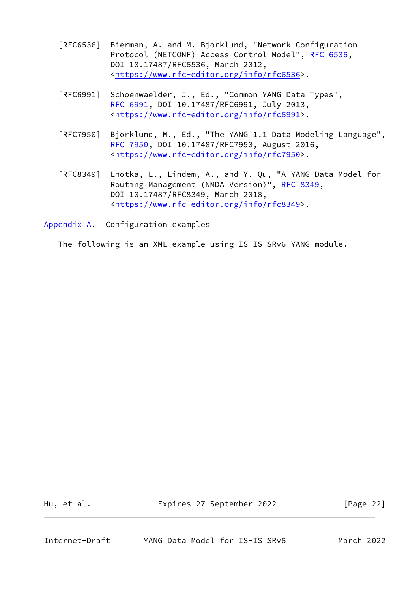- [RFC6536] Bierman, A. and M. Bjorklund, "Network Configuration Protocol (NETCONF) Access Control Model", [RFC 6536](https://datatracker.ietf.org/doc/pdf/rfc6536), DOI 10.17487/RFC6536, March 2012, <[https://www.rfc-editor.org/info/rfc6536>](https://www.rfc-editor.org/info/rfc6536).
- [RFC6991] Schoenwaelder, J., Ed., "Common YANG Data Types", [RFC 6991,](https://datatracker.ietf.org/doc/pdf/rfc6991) DOI 10.17487/RFC6991, July 2013, <[https://www.rfc-editor.org/info/rfc6991>](https://www.rfc-editor.org/info/rfc6991).
- [RFC7950] Bjorklund, M., Ed., "The YANG 1.1 Data Modeling Language", [RFC 7950,](https://datatracker.ietf.org/doc/pdf/rfc7950) DOI 10.17487/RFC7950, August 2016, <[https://www.rfc-editor.org/info/rfc7950>](https://www.rfc-editor.org/info/rfc7950).
- [RFC8349] Lhotka, L., Lindem, A., and Y. Qu, "A YANG Data Model for Routing Management (NMDA Version)", [RFC 8349,](https://datatracker.ietf.org/doc/pdf/rfc8349) DOI 10.17487/RFC8349, March 2018, <[https://www.rfc-editor.org/info/rfc8349>](https://www.rfc-editor.org/info/rfc8349).
- <span id="page-24-0"></span>[Appendix A.](#page-24-0) Configuration examples

The following is an XML example using IS-IS SRv6 YANG module.

Hu, et al. **Expires 27 September 2022** [Page 22]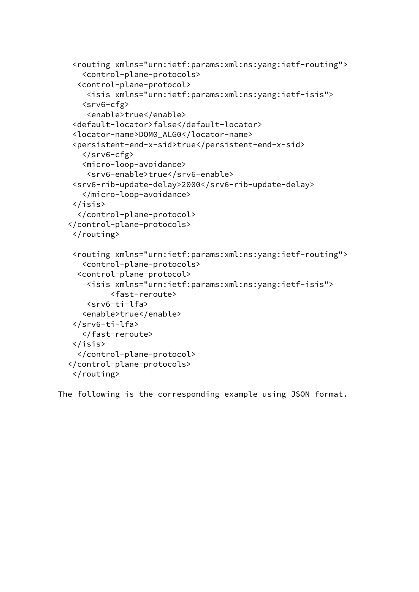```
 <routing xmlns="urn:ietf:params:xml:ns:yang:ietf-routing">
    <control-plane-protocols>
   <control-plane-protocol>
     <isis xmlns="urn:ietf:params:xml:ns:yang:ietf-isis">
    <srv6-cfg>
     <enable>true</enable>
 <default-locator>false</default-locator>
 <locator-name>DOM0_ALG0</locator-name>
 <persistent-end-x-sid>true</persistent-end-x-sid>
    </srv6-cfg>
    <micro-loop-avoidance>
     <srv6-enable>true</srv6-enable>
 <srv6-rib-update-delay>2000</srv6-rib-update-delay>
    </micro-loop-avoidance>
 </isis>
   </control-plane-protocol>
 </control-plane-protocols>
 </routing>
 <routing xmlns="urn:ietf:params:xml:ns:yang:ietf-routing">
    <control-plane-protocols>
   <control-plane-protocol>
     <isis xmlns="urn:ietf:params:xml:ns:yang:ietf-isis">
          <fast-reroute>
     <srv6-ti-lfa>
    <enable>true</enable>
 </srv6-ti-lfa>
    </fast-reroute>
 </isis>
   </control-plane-protocol>
 </control-plane-protocols>
 </routing>
```
The following is the corresponding example using JSON format.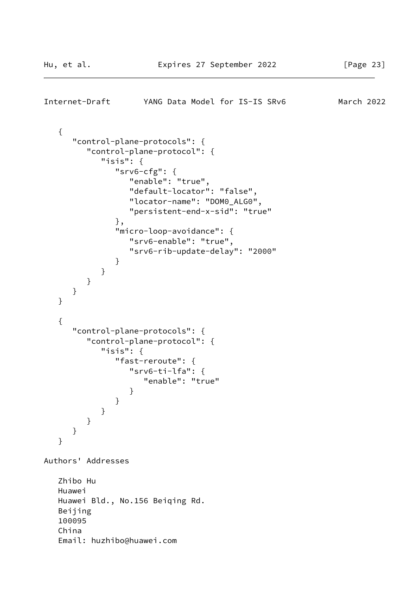<span id="page-26-0"></span>Internet-Draft YANG Data Model for IS-IS SRv6 March 2022

```
 {
       "control-plane-protocols": {
          "control-plane-protocol": {
             "isis": {
                "srv6-cfg": {
                   "enable": "true",
                   "default-locator": "false",
                   "locator-name": "DOM0_ALG0",
                   "persistent-end-x-sid": "true"
                },
                "micro-loop-avoidance": {
                   "srv6-enable": "true",
                   "srv6-rib-update-delay": "2000"
 }
 }
          }
      }
    }
    {
       "control-plane-protocols": {
          "control-plane-protocol": {
             "isis": {
                "fast-reroute": {
                   "srv6-ti-lfa": {
                      "enable": "true"
 }
 }
            }
          }
      }
    }
Authors' Addresses
   Zhibo Hu
   Huawei
   Huawei Bld., No.156 Beiqing Rd.
   Beijing
    100095
    China
    Email: huzhibo@huawei.com
```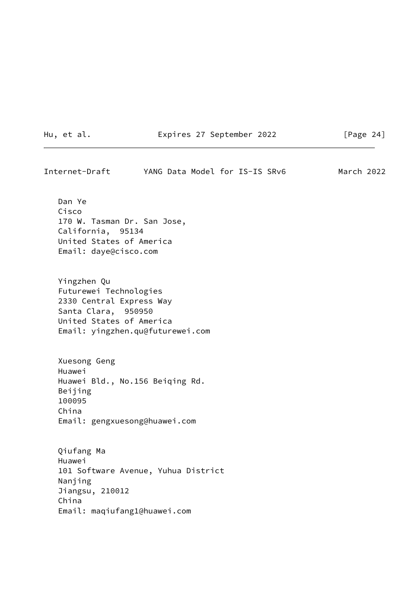Hu, et al. **Expires 27 September 2022** [Page 24]

Internet-Draft YANG Data Model for IS-IS SRv6 March 2022 Dan Ye

 Cisco 170 W. Tasman Dr. San Jose, California, 95134 United States of America Email: daye@cisco.com

 Yingzhen Qu Futurewei Technologies 2330 Central Express Way Santa Clara, 950950 United States of America Email: yingzhen.qu@futurewei.com

 Xuesong Geng Huawei Huawei Bld., No.156 Beiqing Rd. Beijing 100095 China Email: gengxuesong@huawei.com

 Qiufang Ma Huawei 101 Software Avenue, Yuhua District Nanjing Jiangsu, 210012 China Email: maqiufang1@huawei.com